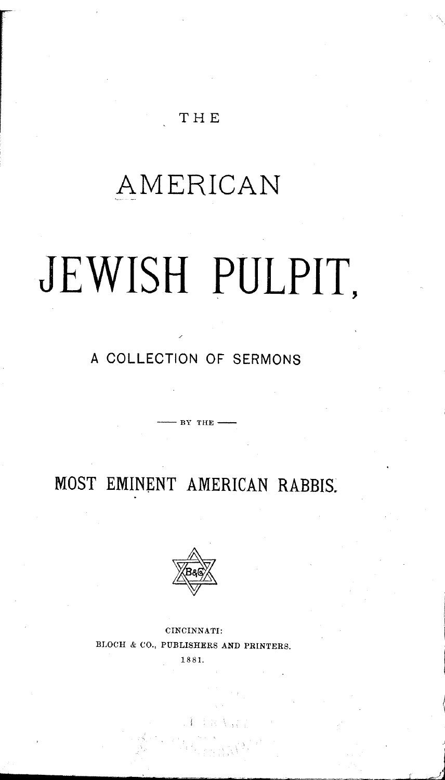#### THE

# **AMERICAN**

# **JEWISH PULPIT,**

### **A COLLECTION OF SERMONS**

 $\frac{1}{\sqrt{2}}$  BY THE

**MOST EMINENT AMERICAN RABBIS.**



CINCINNATI: BLOCH & CO., PUBLISHERS AND PRINTERS.

1881.

*\_\_\_\_\_\_\_*~~~l~·aj

.'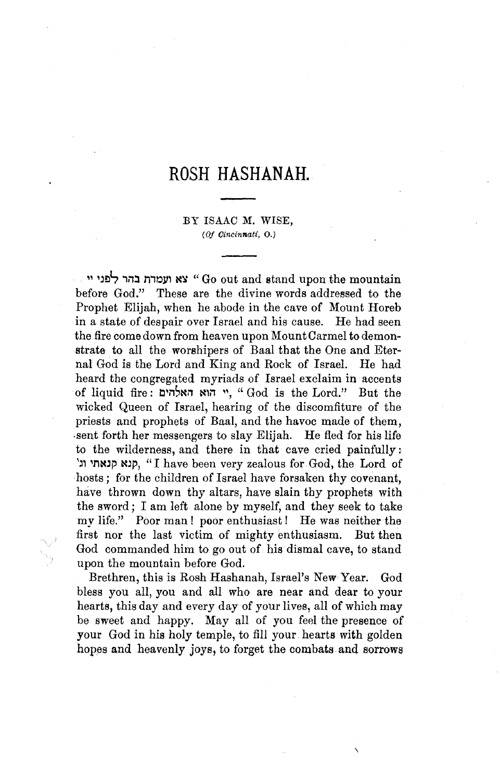## **ROSH HASHANAH.**

#### BY ISAAC M. WISE, (OJ *Cincinnati,* 0.)

" '~Elt, **,n::l** m~lI' **l(1l** "Go out and stand upon the mountain before God." These are the divine words addressed to the Prophet Elijah, when he abode in the cave of Mount Horeb in a state of despair over Israel and his cause. He had seen the fire comedown from heaven upon MountCarmel to demonstrate. to all the worshipers of Baal that the One and Eternal God is the Lord and King and Rock of Israel. He had heard the congregated myriads of Israel exclaim in accents of liquid fire: **c'n'l(n l(,n ",** "God is the Lord." But the wicked Queen of Israel, hearing of the discomfiture of the priests and prophets of Baal, and the havoc made of them, ·sent forth her messengers to slay Elijah. He fled for his life to the wilderness, and there in that cave cried painfully: \~, 'nN~j:l **NJj:l,** "I have been very zealous for. God, the Lord of hosts; for the children of Israel have forsaken thy covenant, have thrown down thy altars, have slain thy prophets with the sword; I am left alone by myself, and they seek to take my life." Poor man! poor enthusiast! He was neither the first nor the last victim of mighty enthusiasm. But then God commanded him to go out of his dismal cave, to stand upon the mountain before God.

Brethren, this is Rosh Hashanah, Israel's New Year. God bless you all, you and all who are near and dear to your hearts, this day and every day of your lives, all of which may be sweet and happy. Mayall of you feel the presence of your God in his holy temple, to fill your hearts with golden hopes and heavenly joys, to forget the combats and sorrows

 $\overline{\phantom{0}}$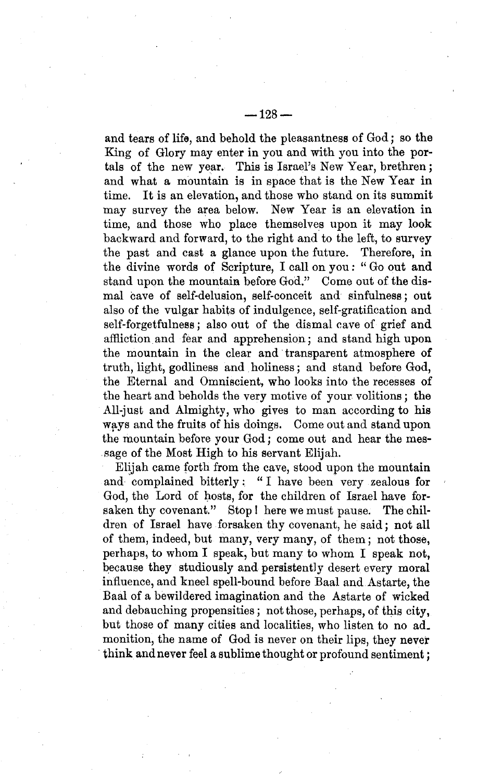and tears of life, and behold the pleasantness of God; so the King of Glory may enter in you and with you into the portals of the new year. This is Israel's New Year, brethren; and what a mountain is in space that is the New Year in time. It is an elevation, and those who stand on its summit may survey the area below. New Year is an elevation in time, and those who place themselves upon it may look backward and forward, to the right and to the left, to survey the past and cast a glance upon the future. Therefore, in the divine words of Scripture, I call on you: "Go out and stand upon the mountain before God." Come out of the dismal cave of self-delusion, self-conceit and sinfulness; out also of the vulgar habits of indulgence, self-gratification and self-forgetfulness; also out of the dismal cave of grief and affliction and fear and apprehension; and stand high upon the mountain in the clear and transparent atmosphere of truth, light, godliness and holiness; and stand before God, the Eternal and Omniscient, who looks into the recesses of the heart and beholds the very motive of your volitions; the All-just and Almighty, who gives to man according to his ways and the fruits of his doings. Come out and stand upon the mountain before your God; come out and hear the mes· sage of the Most High to his servant Elijah.

Elijah came forth from the cave, stood upon the mountain and 'complained bitterly: "I have been very zealous for God, the Lord of hosts, for the children of Israel have forsaken thy covenant." Stop! here we must pause. The children of Israel have forsaken thy covenant, he said; not all of them, indeed, but many, very many, of them; not those, perhaps, to whom I speak, but many to whom I speak not, because they studiously and persistently desert every moral influence, and kneel spell-bound before Baal and Astarte, the Baal of a bewildered imagination and the Astarte of wicked and debauching propensities; not those, perhaps, of this city, but those of many cities and localities, who listen to no ad. monition, the name of God is never on their lips, they never think and never feel a sublime thought or profound sentiment;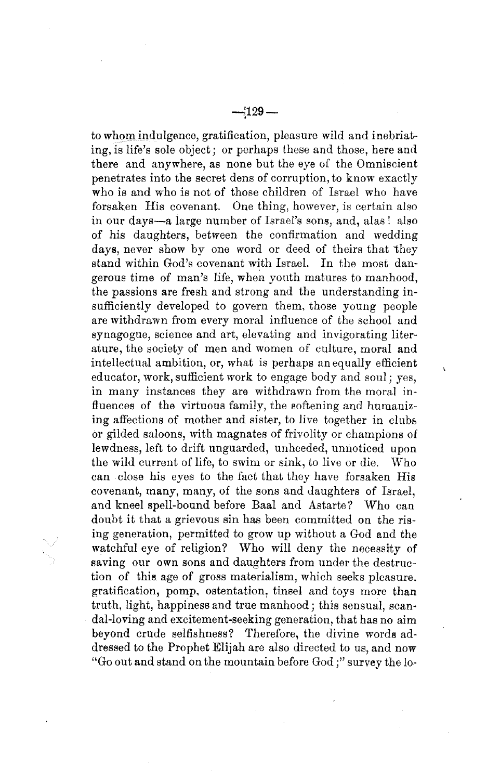to whom indulgence, gratification, pleasure wild and inebriating, is life's sole object; or perhaps these and those, here and there and anywhere, as none but the eye of the Omniscient penetrates into the secret dens of corruption, to know exactly who is and who is not of those children of Israel who have forsaken His covenant. One thing, however, is certain also in our days-a large number of Israel's sons, and, alas! also of his daughters, between the confirmation and wedding days, never show by one word or deed of theirs that they stand within God's covenant with Israel. In the most dangerous time of man's life, when youth matures to manhood, the passions are fresh and strong and the understanding insufficiently developed to govern them, those young people are withdrawn from every moral influence of the school and synagogue, science and art, elevating and invigorating literature, the society of men and women of culture, moral and intellectual ambition, or, what is perhaps an equally efficient educator, work, sufficient work to engage body and soul; yes, in many instances they are withdrawn from the moral influences of the virtuous family, the softening and humanizing affections of mother and sister, to live together in clubs or gilded saloons, with magnates of frivolity or champions of lewdness, left to drift unguarded, unheeded, unnoticed upon the wild current of life, to swim or sink, to live or die. Who can close his eyes to the fact that they have forsaken His covenant, many, many, of the sons and daughters of Israel, and kneel spell-bound before Baal and Astarte? Who can doubt it that a grievous sin has been committed on the rising generation, permitted to grow up without a God and the watchful eye of religion? Who will deny the necessity of saving our own sons and daughters from under the destruction of this age of gross materialism, which seeks pleasure. gratification, pomp, ostentation, tinsel and toys more than truth, light, happiness and true manhood; this sensual, scandal-loving and excitement-seeking generation, that has no aim beyond crude selfishness? Therefore, the divine words addressed to the Prophet Elijah are also directed to us, and now "Go out and stand on the mountain before God ;" survey the 10-

 $\bar{\mathbf{r}}$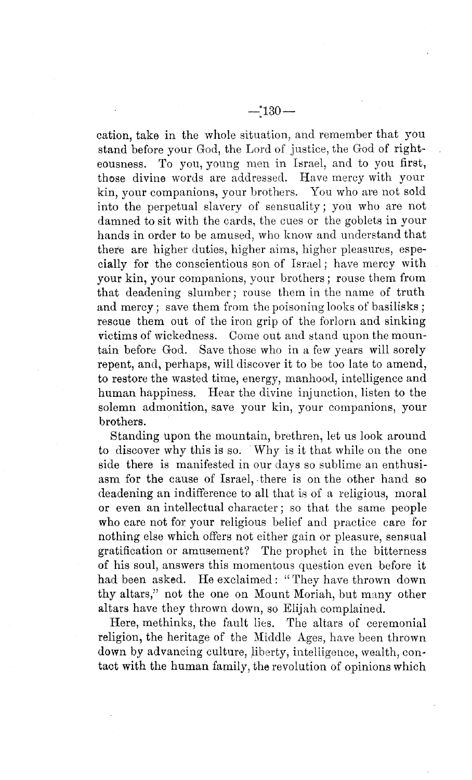cation, take in the whole situation, and remember that you stand before your God, the Lord of justice, the God of righteousness. To you, young men in Israel, and to you first, those divine words are addressed. Have mercy with your kin, your companions, your brothers. You who are not sold into the perpetual slavery of sensuality; you who are not damned to sit with the cards, the cues or the goblets in your hands in order to be amused, who know and understand that there are higher duties, higher aims, higher pleasures, especially for the conscientious son of Israel; have mercy with your kin, your companions, your brothers; rouse them from that deadening slumber; rouse them in the name of truth and mercy; save them from the poisoning looks of basilisks; rescue them out of the iron grip of the forlorn and sinking victims of wickedness. Come out and stand upon the mountain before God. Save those who in a few years will sorely repent, and, perhaps, will discover it to be too late to amend, to restore the wasted time, energy, manhood, intelligence and human happiness. Hear the divine injunction, listen to the solemn admonition, save your kin, your companions, your brothers.

Standing upon the mountain, brethren, let us look around to discover why this is so. Why is it that while on the one side there is manifested in our days so sublime an enthusiasm for the cause of Israel, there is on the other hand so deadening an indifference to all that is of a religious, moral or even an intellectual character; so that the same people who care not for your religious belief and practice care for nothing else which offers not either gain or pleasure, sensual gratification or amusement? The prophet in the bitterness of his soul, answers this momentous question even before it had been asked. He exclaimed: "They have thrown down thy altars," not the one on Mount Moriah, but many other altars have they thrown down, so Elijah complained.

Here, methinks, the fault lies. The altars of ceremonial religion, the heritage of the Middle Ages, have been thrown down by advancing culture, liberty, intelligence, wealth, contact with the human family, the revolution of opinions which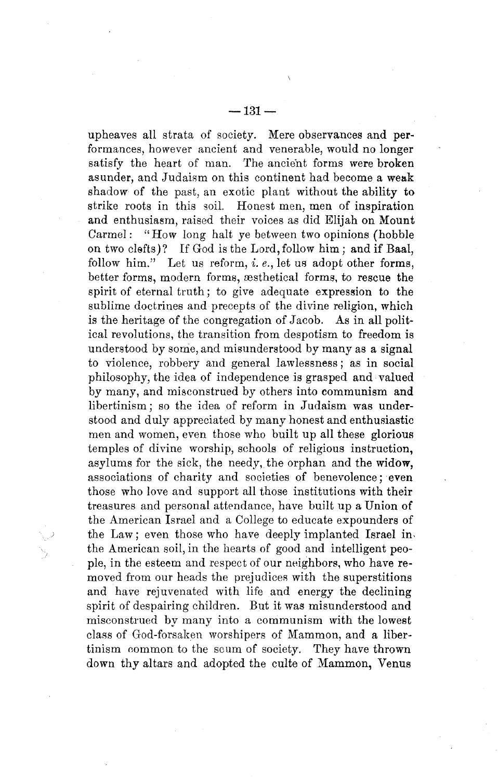upheaves all strata of society. Mere observances and performances, however ancient and venerable, would no longer satisfy the heart of man. The ancient forms were broken asunder, and Judaism on this continent had become a weak shadow of the past, an exotic plant without the ability to strike roots in this soil. Honest men, men of inspiration and enthusiasm, raised their voices as did Elijah on Mount Carmel: "How long halt ye between two opinions (hobble on two clefts)? If God is the Lord, follow him; and if Baal, follow him." Let us reform, *i. e.*, let us adopt other forms, better forms, modern forms, æsthetical forms, to rescue the spirit of eternal truth; to give adequate expression to the sublime doctrines and precepts of the divine religion, which is the heritage of the congregation of Jacob. As in all political revolutions, the transition from despotism to freedom is understood by some, and misunderstood by many as a signal to violence, robbery and general lawlessness; as in social philosophy, the idea of independence is grasped and valued by many, and misconstrued by others into communism and libertinism; so the idea of reform in Judaism was understood and duly appreciated by many honest and enthusiastic men and women, even those who built up all these glorious temples of divine worship, schools of religious instruction, asylums for the sick, the needy, the orphan and the widow, associations of charity and societies of benevolence; even those who love and support all those institutions with their treasures and personal attendance, have built up a Union of the American Israel and a College to educate expounders of the Law; even those who have deeply implanted Israel in. the American soil, in the hearts of good and intelligent people, in the esteem and respect of our neighbors, who have removed from our heads the prejudices with the superstitions and have rejuvenated with life and energy the declining spirit of despairing children. But it was misunderstood and misconstrued by many into a communism with the lowest class of God-forsaken worshipers of Mammon, and a libertinism common to the scum of society. They have thrown down thy altars and adopted the culte of Mammon, Venus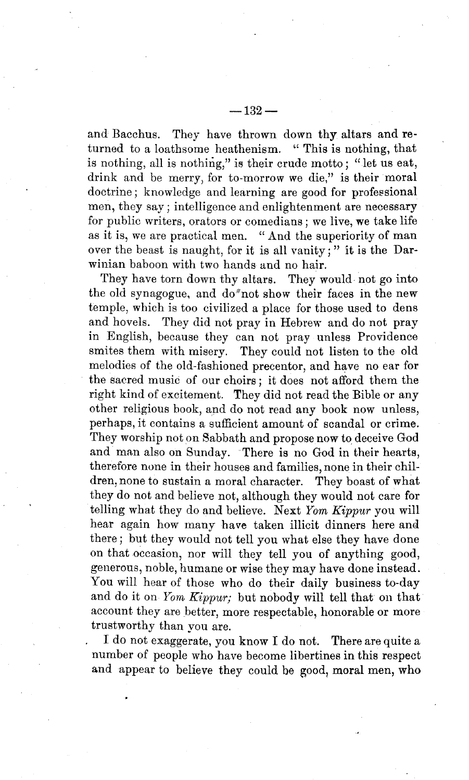and Bacchus. They have thrown down thy altars and returned to a loathsome heathenism. "This is nothing, that is nothing, all is nothing," is their erude motto; "let us eat, drink and be merry; for to-morrow we die," is their moral doctrine; knowledge and learning are good for professional men, they say; intelligence and enlightenment are necessary for public writers, orators or comedians; we live, we take life as it is, we are practical men. "And the superiority of man over the beast is naught, for it is all vanity;" it is the Darwinian baboon with two hands and no hair.

They have torn down thy altars. They would not go into the old synagogue, and do not show their faces in the new temple, which is too civilized a place for those used to dens and hovels. They did not pray in Hebrew and do not pray in English, because they can not pray unless Providence smites them with misery. They could not listen to the old melodies of the old-fashioned precentor, and have no ear for the sacred music of our choirs; it does not afford them the right kind of excitement. They did not read the Bible or any other religious book, and do not read any book now unless, perhaps, it contains a sufficient amount of scandal or crime. They worship not on Sabbath and propose now to deceive God and man also on Sunday. There is no God in their hearts, therefore none in their houses and families, none in their children, none to sustain a moral character. They boast of what they do not and believe not, although they would not care for telling what they do and believe. Next *Yom Kippur* you will hear again how many have taken illicit dinners here and there; but they would not tell you what else they have done on that occasion, nor will they tell you of anything good, generous, noble, humane or wise they may have done instead. You will hear of those who do their daily business to-day and do it on *Yom Kippur;* but nobody will tell that on that account they are better, more respectable, honorable or more trustworthy than you are.

I do not exaggerate, you know I do not. There are quite a number of people who have become libertines in this respect and appear to believe they could be good, moral men, who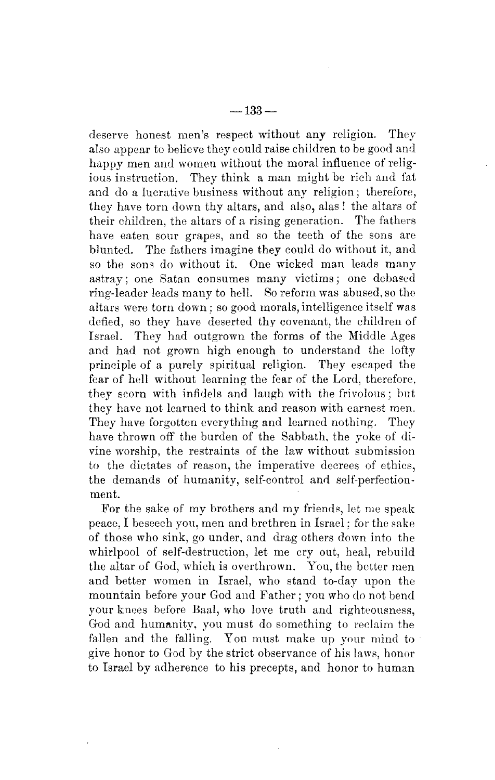deserve honest men's respect without any religion. They also appear to believe they could raise children to be good and happy men and women without the moral influence of religious instruction. They think a man might be rich and fat and do a lucrative business without any religion; therefore, they have torn down thy altars, and also, alas! the altars of their children, the altars of a rising generation. The fathers have eaten sour grapes, and so the teeth of the sons are blunted. The fathers imagine they could do without it, and so the sons do without it. One wicked man leads many astray; one Satan consumes many victims; one debased ring-leader leads many to hell. So reform was abused, so the altars were torn down; so good morals, intelligence itself was defied, so they have deserted thy covenant, the children of Israel. They had outgrown the forms of the Middle Ages and had not grown high enough to understand the lofty principle of a purely spiritual religion. They escaped the fear of hell without learning the fear of the Lord, therefore, they scorn with infidels and laugh with the frivolous; but they have not learned to think and reason with earnest men. They have forgotten everything and learned nothing. They have thrown off the burden of the Sabbath, the yoke of divine worship, the restraints of the law without submission to the dictates of reason, the imperative decrees of ethics, the demands of humanity, self-control and self-perfectionment.

For the sake of my brothers and my friends, let me speak peace, I beseech you, men and brethren in Israel; for the sake of those who sink, go under, and drag others down into the whirlpool of self-destruction, let me cry out, heal, rebuild the altar of God, which is overthrown. You, the better men and better women in Israel, who stand to-day upon the mountain before your God and Father; you who do not bend your knees before Baal, who love truth and righteousness, God and humanity, you must do something to reclaim the fallen and the falling. You must make up your mind to give honor to God by the strict observance of his laws, honor to Israel by adherence to his precepts, and honor to human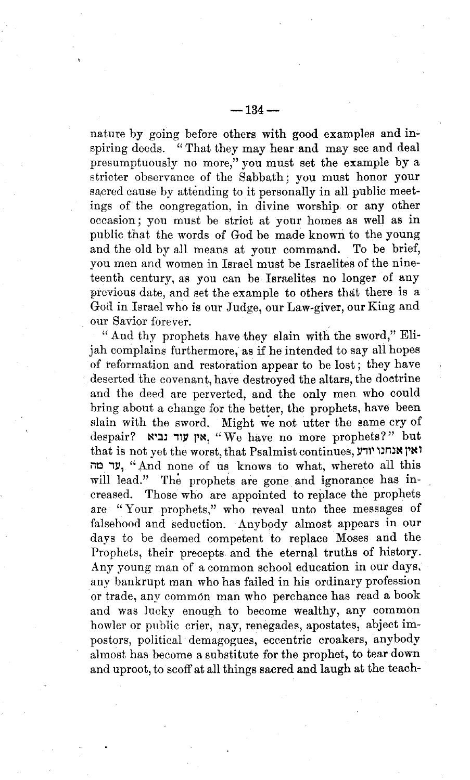nature by going before others with good examples and inspiring deeds. "That they may hear and may see and deal presumptuously no more," you must set the example by a stricter observance of the Sabbath; you must honor your sacred cause by attending to it personally in all public meetings of the congregation. in divine worship or any other occasion; you must be strict at your homes as well as in public that the words of God be made known to the young and the old by all means at your command. To be brief, you men and women in Israel must be Israelites of the nineteenth century, as you can be Ismelites no longer of any previous date, and set the example to others that there is a God in Israel who is our Judge, our Law-giver, our King and our Savior forever.

" And thy prophets have they slain with the sword," Elijah complains furthermore, as if he intended to say all hopes of reformation and restoration appear to be lost; they have deserted the covenant, have destroyed the altars, the doetrine and the deed are perverted, and the only men who could bring about a change for the better, the prophets, have been slain with the sword. Might we not utter the same cry of despair? אין עוד נביא, "We have no more prophets?" but  $t$ that is not yet the worst, that Psalmist continues, **ואין אנחנו** יודע עד מה, "And none of us knows to what, whereto all this will lead." The prophets are gone and ignorance has increased. Those who are appointed to replace the prophets are "Your prophets," who reveal unto thee messages of falsehood and seduction. Anybody almost appears in our days to be deemed competent to replace Moses and the Prophets, their precepts and the eternal truths of history. Any young man of a common school education in our days. any bankrupt man who has failed in his ordinary profession or trade, any common man who perchance has read a book and was lucky enough to become wealthy, any common howler or public crier, nay, renegades, apostates, abject impostors, political demagogues, eccentric croakers, anybody almost has become a substitute for the prophet, to tear down and uproot, to scoff at all things sacred and laugh at the teach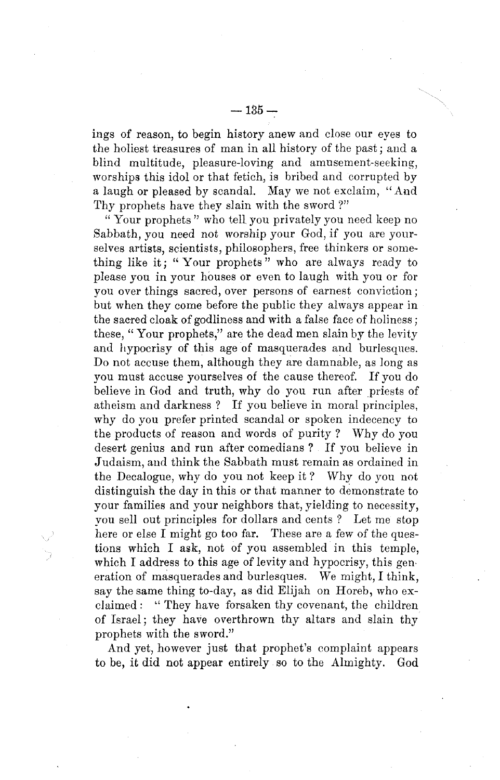ings of reason, to begin history anew and close our eyes to the holiest treasures of man in all history of the past; and a blind multitude, pleasure-loving and amusement-seeking, worships this idol or that fetich, is bribed and corrupted by a laugh or pleased by scandal. May we not exclaim, "And Thy prophets have they slain with the sword ?"

" Your prophets" who tell you privately you need keep no Sabbath, you need not worship your God, if you are yourselves artists, scientists, philosophers, free thinkers or something like it; "Your prophets" who are always ready to please you in your houses or even to laugh with you or for you over things sacred, over persons of earnest conviction; but when they come before the public they always appear in the sacred cloak of godliness and with a false face of holiness; these, " Your prophets," are the dead men slain by the levity and hypocrisy of this age of masquerades and burlesques. Do not accuse them, although they are damnable, as long as you must accuse yourselves of the cause thereof. If you do believe in God and truth, why do you run after priests of atheism and darkness? If you believe in moral principles, why do you prefer printed scandal or spoken indecency to the products of reason and words of purity? Why do you desert genius and run after comedians? If you believe in Judaism, and think the Sabbath must remain as ordained in the Decalogue, why do you not keep it? Why do you not distinguish the day in this or that manner to demonstrate to your families and your neighbors that, yielding to necessity, you sell out principles for dollars and cents? Let me stop here or else I might go too far. These are a few of the questions which I ask, not of you assembled in this temple, which I address to this age of levity and hypocrisy, this generation of masquerades and burlesques. We might, I think, say the same thing to-day, as did Elijah on Horeb, who exclaimed: "They have forsaken thy covenant, the children of Israel; they have overthrown thy altars and slain thy prophets with the sword."

And yet, however just that prophet's complaint appears to be, it did not appear entirely so to the Almighty. God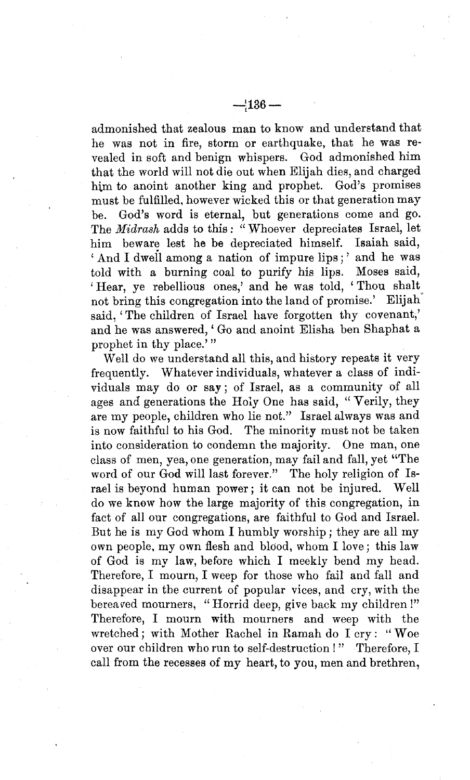admonished that zealous man to know and understand that he was not in fire, storm or earthquake, that he was revealed in soft and benign whispers. God admonished him

that the world will not die out when Elijah dies, and charged him to anoint another king and prophet. God's promises must be fulfilled, however wicked this or that generation may be. God's word is eternal, but generations come and go. The *Midrash* adds to this: "Whoever depreciates Israel, let him beware lest he be depreciated himself. Isaiah said, 'And I dwell among a nation of impure lips;' and he was told with a burning coal to purify his lips. Moses said, 'Hear, ye rebellious ones,' and he was told, 'Thou shalt not bring this congregation into the land of promise.' Elijah<sup>†</sup> said, 'The children of Israel have forgotten thy covenant,' and he was answered, ' Go and anoint Elisha ben Shaphat a prophet in thy place.'"

Well do we understand all this, and history repeats it very frequently. Whatever individuals, whatever a class of individuals may do or say; of Israel, as a community of all ages and generations the Holy One has said, "Verily, they are my people, children who lie not." Israel always was and is now faithful to his God. The minority must not be taken into consideration to condemn the majority. One man, one class of men, yea, one generation, may fail and fall, yet "The word of our God will last forever." The holy religion of Israel is beyond human power; it can not be injured. Well do we know how the large majority of this congregation, in fact of all our congregations, are faithful to God and Israel. But he is my God whom I humbly worship; they are all my own people, my own flesh and blood, whom I love; this law of God is my law, before which I meekly bend my head. Therefore, I mourn, I weep for those who fail and fall and disappear in the current of popular vices, and cry, with the bereaved mourners, "Horrid deep, give back my children !" Therefore, I mourn with mourners and weep with the wretched; with Mother Rachel in Ramah do I cry: "Woe over our children who run to self-destruction!" Therefore, I call from the recesses of my heart, to you, men and brethren,